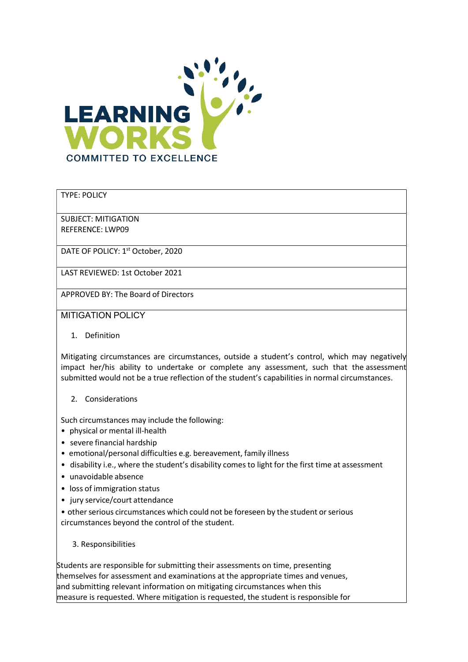

## TYPE: POLICY

SUBJECT: MITIGATION REFERENCE: LWP09

DATE OF POLICY: 1<sup>st</sup> October, 2020

LAST REVIEWED: 1st October 2021

APPROVED BY: The Board of Directors

MITIGATION POLICY

1. Definition

Mitigating circumstances are circumstances, outside a student's control, which may negatively impact her/his ability to undertake or complete any assessment, such that the assessment submitted would not be a true reflection of the student's capabilities in normal circumstances.

## 2. Considerations

Such circumstances may include the following:

- physical or mental ill-health
- severe financial hardship
- emotional/personal difficulties e.g. bereavement, family illness
- disability i.e., where the student's disability comes to light for the first time at assessment
- unavoidable absence
- loss of immigration status
- jury service/court attendance

• other serious circumstances which could not be foreseen by the student or serious circumstances beyond the control of the student.

## 3. Responsibilities

Students are responsible for submitting their assessments on time, presenting themselves for assessment and examinations at the appropriate times and venues, and submitting relevant information on mitigating circumstances when this measure is requested. Where mitigation is requested, the student is responsible for